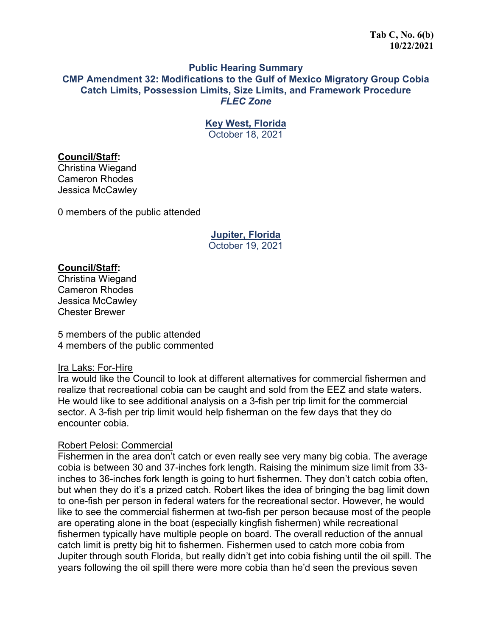### **Public Hearing Summary CMP Amendment 32: Modifications to the Gulf of Mexico Migratory Group Cobia Catch Limits, Possession Limits, Size Limits, and Framework Procedure** *FLEC Zone*

**Key West, Florida** 

October 18, 2021

### **Council/Staff:**

Christina Wiegand Cameron Rhodes Jessica McCawley

0 members of the public attended

# **Jupiter, Florida**  October 19, 2021

# **Council/Staff:**

Christina Wiegand Cameron Rhodes Jessica McCawley Chester Brewer

5 members of the public attended 4 members of the public commented

### Ira Laks: For-Hire

Ira would like the Council to look at different alternatives for commercial fishermen and realize that recreational cobia can be caught and sold from the EEZ and state waters. He would like to see additional analysis on a 3-fish per trip limit for the commercial sector. A 3-fish per trip limit would help fisherman on the few days that they do encounter cobia.

### Robert Pelosi: Commercial

Fishermen in the area don't catch or even really see very many big cobia. The average cobia is between 30 and 37-inches fork length. Raising the minimum size limit from 33 inches to 36-inches fork length is going to hurt fishermen. They don't catch cobia often, but when they do it's a prized catch. Robert likes the idea of bringing the bag limit down to one-fish per person in federal waters for the recreational sector. However, he would like to see the commercial fishermen at two-fish per person because most of the people are operating alone in the boat (especially kingfish fishermen) while recreational fishermen typically have multiple people on board. The overall reduction of the annual catch limit is pretty big hit to fishermen. Fishermen used to catch more cobia from Jupiter through south Florida, but really didn't get into cobia fishing until the oil spill. The years following the oil spill there were more cobia than he'd seen the previous seven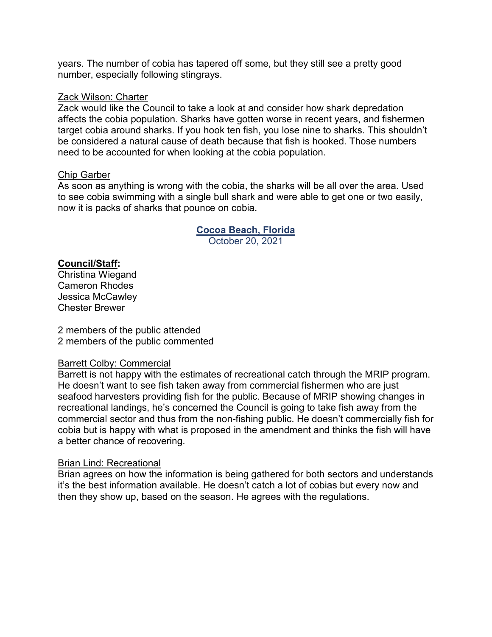years. The number of cobia has tapered off some, but they still see a pretty good number, especially following stingrays.

### Zack Wilson: Charter

Zack would like the Council to take a look at and consider how shark depredation affects the cobia population. Sharks have gotten worse in recent years, and fishermen target cobia around sharks. If you hook ten fish, you lose nine to sharks. This shouldn't be considered a natural cause of death because that fish is hooked. Those numbers need to be accounted for when looking at the cobia population.

### Chip Garber

As soon as anything is wrong with the cobia, the sharks will be all over the area. Used to see cobia swimming with a single bull shark and were able to get one or two easily, now it is packs of sharks that pounce on cobia.

# **Cocoa Beach, Florida**

October 20, 2021

# **Council/Staff:**

Christina Wiegand Cameron Rhodes Jessica McCawley Chester Brewer

2 members of the public attended 2 members of the public commented

### Barrett Colby: Commercial

Barrett is not happy with the estimates of recreational catch through the MRIP program. He doesn't want to see fish taken away from commercial fishermen who are just seafood harvesters providing fish for the public. Because of MRIP showing changes in recreational landings, he's concerned the Council is going to take fish away from the commercial sector and thus from the non-fishing public. He doesn't commercially fish for cobia but is happy with what is proposed in the amendment and thinks the fish will have a better chance of recovering.

# Brian Lind: Recreational

Brian agrees on how the information is being gathered for both sectors and understands it's the best information available. He doesn't catch a lot of cobias but every now and then they show up, based on the season. He agrees with the regulations.